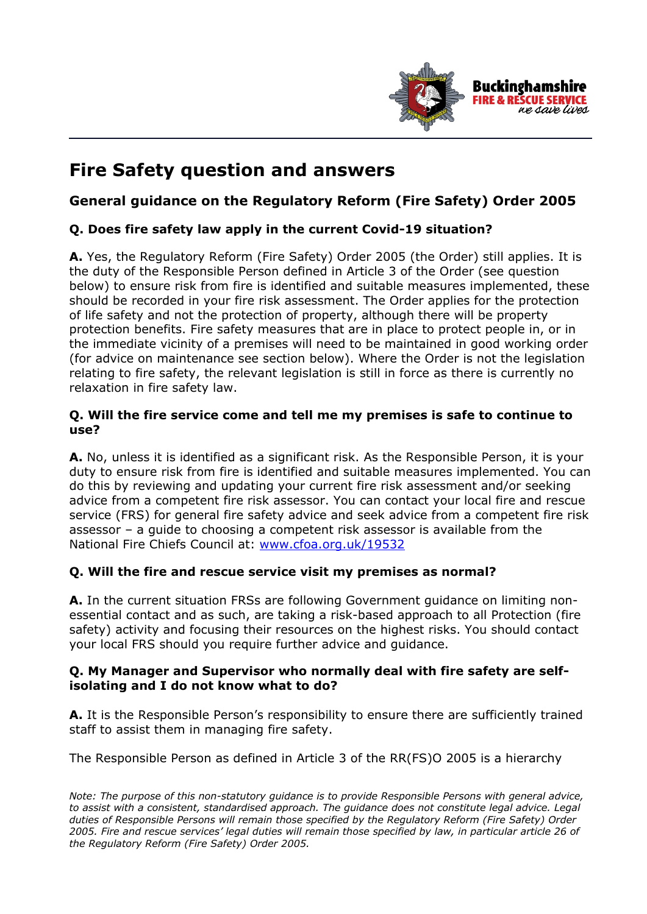

# **Fire Safety question and answers**

# **General guidance on the Regulatory Reform (Fire Safety) Order 2005**

# **Q. Does fire safety law apply in the current Covid-19 situation?**

**A.** Yes, the Regulatory Reform (Fire Safety) Order 2005 (the Order) still applies. It is the duty of the Responsible Person defined in Article 3 of the Order (see question below) to ensure risk from fire is identified and suitable measures implemented, these should be recorded in your fire risk assessment. The Order applies for the protection of life safety and not the protection of property, although there will be property protection benefits. Fire safety measures that are in place to protect people in, or in the immediate vicinity of a premises will need to be maintained in good working order (for advice on maintenance see section below). Where the Order is not the legislation relating to fire safety, the relevant legislation is still in force as there is currently no relaxation in fire safety law.

#### **Q. Will the fire service come and tell me my premises is safe to continue to use?**

**A.** No, unless it is identified as a significant risk. As the Responsible Person, it is your duty to ensure risk from fire is identified and suitable measures implemented. You can do this by reviewing and updating your current fire risk assessment and/or seeking advice from a competent fire risk assessor. You can contact your local fire and rescue service (FRS) for general fire safety advice and seek advice from a competent fire risk assessor – a guide to choosing a competent risk assessor is available from the National Fire Chiefs Council at: www.cfoa.org.uk/19532

# **Q. Will the fire and rescue service visit my premises as normal?**

**A.** In the current situation FRSs are following Government guidance on limiting nonessential contact and as such, are taking a risk-based approach to all Protection (fire safety) activity and focusing their resources on the highest risks. You should contact your local FRS should you require further advice and guidance.

#### **Q. My Manager and Supervisor who normally deal with fire safety are selfisolating and I do not know what to do?**

**A.** It is the Responsible Person's responsibility to ensure there are sufficiently trained staff to assist them in managing fire safety.

The Responsible Person as defined in Article 3 of the RR(FS)O 2005 is a hierarchy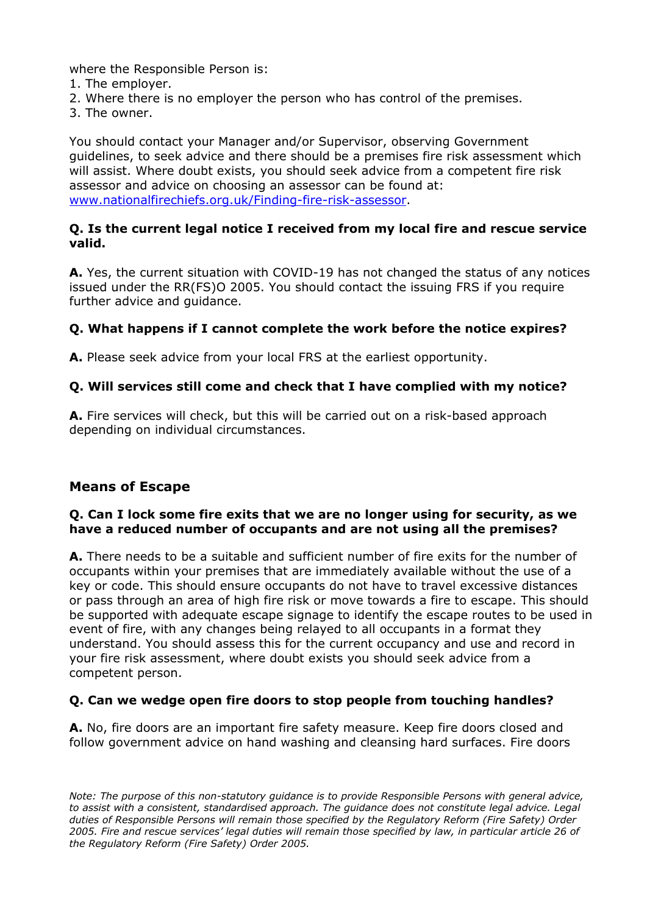where the Responsible Person is:

- 1. The employer.
- 2. Where there is no employer the person who has control of the premises.
- 3. The owner.

You should contact your Manager and/or Supervisor, observing Government guidelines, to seek advice and there should be a premises fire risk assessment which will assist. Where doubt exists, you should seek advice from a competent fire risk assessor and advice on choosing an assessor can be found at: www.nationalfirechiefs.org.uk/Finding-fire-risk-assessor.

#### **Q. Is the current legal notice I received from my local fire and rescue service valid.**

**A.** Yes, the current situation with COVID-19 has not changed the status of any notices issued under the RR(FS)O 2005. You should contact the issuing FRS if you require further advice and guidance.

#### **Q. What happens if I cannot complete the work before the notice expires?**

**A.** Please seek advice from your local FRS at the earliest opportunity.

#### **Q. Will services still come and check that I have complied with my notice?**

**A.** Fire services will check, but this will be carried out on a risk-based approach depending on individual circumstances.

# **Means of Escape**

#### **Q. Can I lock some fire exits that we are no longer using for security, as we have a reduced number of occupants and are not using all the premises?**

**A.** There needs to be a suitable and sufficient number of fire exits for the number of occupants within your premises that are immediately available without the use of a key or code. This should ensure occupants do not have to travel excessive distances or pass through an area of high fire risk or move towards a fire to escape. This should be supported with adequate escape signage to identify the escape routes to be used in event of fire, with any changes being relayed to all occupants in a format they understand. You should assess this for the current occupancy and use and record in your fire risk assessment, where doubt exists you should seek advice from a competent person.

#### **Q. Can we wedge open fire doors to stop people from touching handles?**

**A.** No, fire doors are an important fire safety measure. Keep fire doors closed and follow government advice on hand washing and cleansing hard surfaces. Fire doors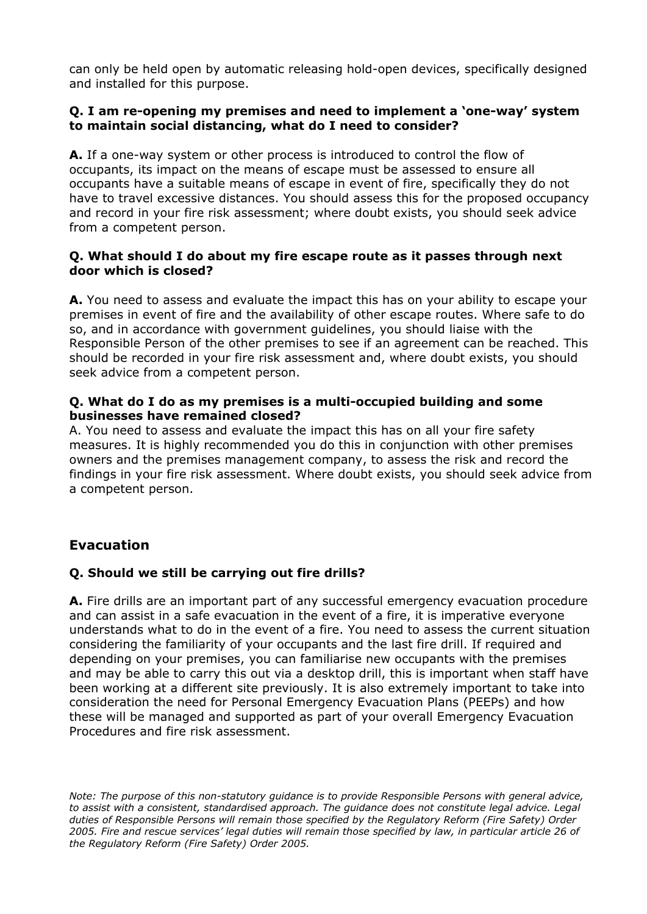can only be held open by automatic releasing hold-open devices, specifically designed and installed for this purpose.

#### **Q. I am re-opening my premises and need to implement a 'one-way' system to maintain social distancing, what do I need to consider?**

**A.** If a one-way system or other process is introduced to control the flow of occupants, its impact on the means of escape must be assessed to ensure all occupants have a suitable means of escape in event of fire, specifically they do not have to travel excessive distances. You should assess this for the proposed occupancy and record in your fire risk assessment; where doubt exists, you should seek advice from a competent person.

#### **Q. What should I do about my fire escape route as it passes through next door which is closed?**

**A.** You need to assess and evaluate the impact this has on your ability to escape your premises in event of fire and the availability of other escape routes. Where safe to do so, and in accordance with government guidelines, you should liaise with the Responsible Person of the other premises to see if an agreement can be reached. This should be recorded in your fire risk assessment and, where doubt exists, you should seek advice from a competent person.

#### **Q. What do I do as my premises is a multi-occupied building and some businesses have remained closed?**

A. You need to assess and evaluate the impact this has on all your fire safety measures. It is highly recommended you do this in conjunction with other premises owners and the premises management company, to assess the risk and record the findings in your fire risk assessment. Where doubt exists, you should seek advice from a competent person.

# **Evacuation**

# **Q. Should we still be carrying out fire drills?**

**A.** Fire drills are an important part of any successful emergency evacuation procedure and can assist in a safe evacuation in the event of a fire, it is imperative everyone understands what to do in the event of a fire. You need to assess the current situation considering the familiarity of your occupants and the last fire drill. If required and depending on your premises, you can familiarise new occupants with the premises and may be able to carry this out via a desktop drill, this is important when staff have been working at a different site previously. It is also extremely important to take into consideration the need for Personal Emergency Evacuation Plans (PEEPs) and how these will be managed and supported as part of your overall Emergency Evacuation Procedures and fire risk assessment.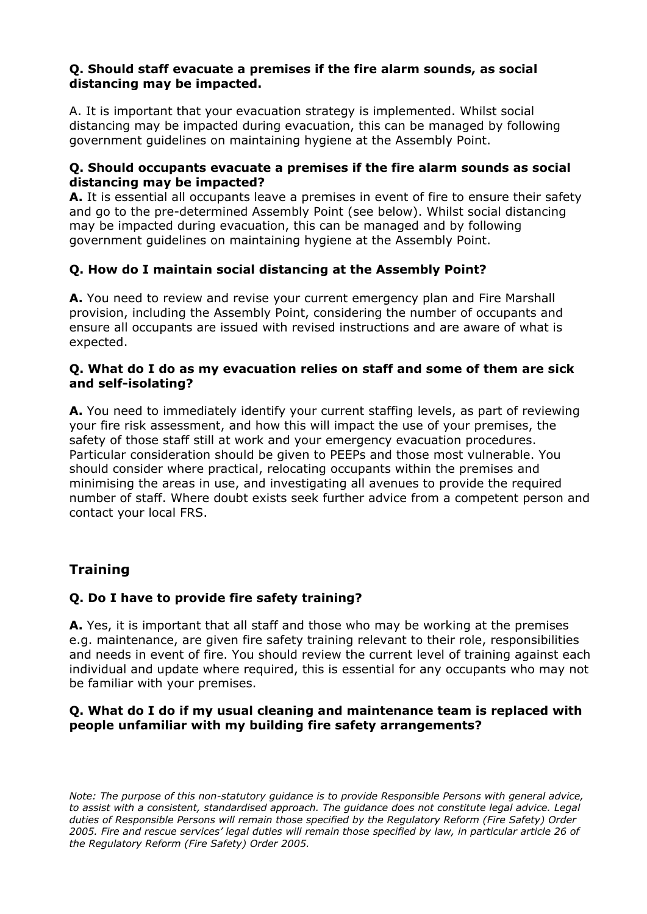#### **Q. Should staff evacuate a premises if the fire alarm sounds, as social distancing may be impacted.**

A. It is important that your evacuation strategy is implemented. Whilst social distancing may be impacted during evacuation, this can be managed by following government guidelines on maintaining hygiene at the Assembly Point.

#### **Q. Should occupants evacuate a premises if the fire alarm sounds as social distancing may be impacted?**

**A.** It is essential all occupants leave a premises in event of fire to ensure their safety and go to the pre-determined Assembly Point (see below). Whilst social distancing may be impacted during evacuation, this can be managed and by following government guidelines on maintaining hygiene at the Assembly Point.

# **Q. How do I maintain social distancing at the Assembly Point?**

**A.** You need to review and revise your current emergency plan and Fire Marshall provision, including the Assembly Point, considering the number of occupants and ensure all occupants are issued with revised instructions and are aware of what is expected.

#### **Q. What do I do as my evacuation relies on staff and some of them are sick and self-isolating?**

**A.** You need to immediately identify your current staffing levels, as part of reviewing your fire risk assessment, and how this will impact the use of your premises, the safety of those staff still at work and your emergency evacuation procedures. Particular consideration should be given to PEEPs and those most vulnerable. You should consider where practical, relocating occupants within the premises and minimising the areas in use, and investigating all avenues to provide the required number of staff. Where doubt exists seek further advice from a competent person and contact your local FRS.

# **Training**

# **Q. Do I have to provide fire safety training?**

**A.** Yes, it is important that all staff and those who may be working at the premises e.g. maintenance, are given fire safety training relevant to their role, responsibilities and needs in event of fire. You should review the current level of training against each individual and update where required, this is essential for any occupants who may not be familiar with your premises.

#### **Q. What do I do if my usual cleaning and maintenance team is replaced with people unfamiliar with my building fire safety arrangements?**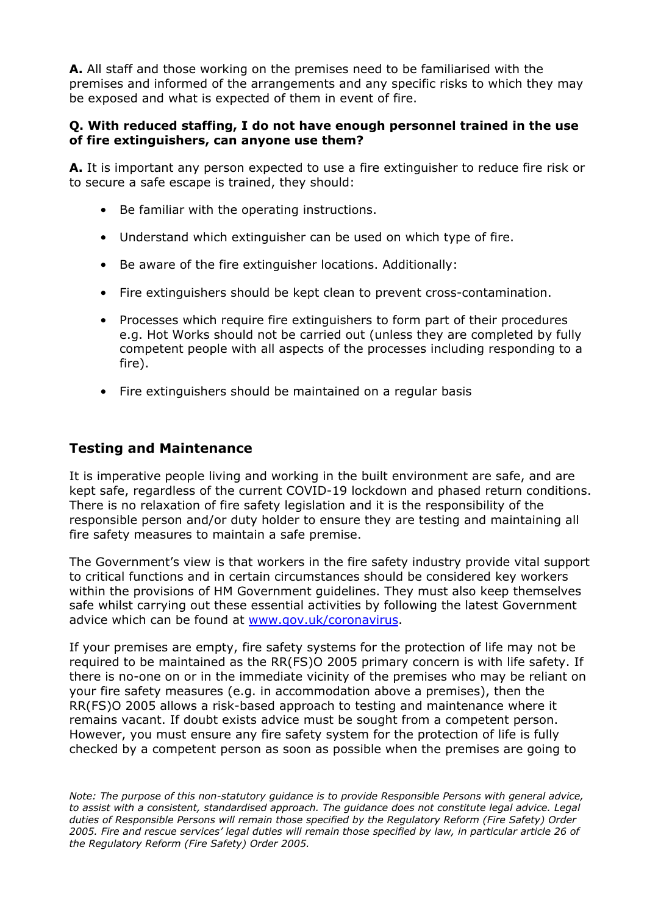**A.** All staff and those working on the premises need to be familiarised with the premises and informed of the arrangements and any specific risks to which they may be exposed and what is expected of them in event of fire.

#### **Q. With reduced staffing, I do not have enough personnel trained in the use of fire extinguishers, can anyone use them?**

**A.** It is important any person expected to use a fire extinguisher to reduce fire risk or to secure a safe escape is trained, they should:

- Be familiar with the operating instructions.
- Understand which extinguisher can be used on which type of fire.
- Be aware of the fire extinguisher locations. Additionally:
- Fire extinguishers should be kept clean to prevent cross-contamination.
- Processes which require fire extinguishers to form part of their procedures e.g. Hot Works should not be carried out (unless they are completed by fully competent people with all aspects of the processes including responding to a fire).
- Fire extinguishers should be maintained on a regular basis

#### **Testing and Maintenance**

It is imperative people living and working in the built environment are safe, and are kept safe, regardless of the current COVID-19 lockdown and phased return conditions. There is no relaxation of fire safety legislation and it is the responsibility of the responsible person and/or duty holder to ensure they are testing and maintaining all fire safety measures to maintain a safe premise.

The Government's view is that workers in the fire safety industry provide vital support to critical functions and in certain circumstances should be considered key workers within the provisions of HM Government guidelines. They must also keep themselves safe whilst carrying out these essential activities by following the latest Government advice which can be found at www.gov.uk/coronavirus.

If your premises are empty, fire safety systems for the protection of life may not be required to be maintained as the RR(FS)O 2005 primary concern is with life safety. If there is no-one on or in the immediate vicinity of the premises who may be reliant on your fire safety measures (e.g. in accommodation above a premises), then the RR(FS)O 2005 allows a risk-based approach to testing and maintenance where it remains vacant. If doubt exists advice must be sought from a competent person. However, you must ensure any fire safety system for the protection of life is fully checked by a competent person as soon as possible when the premises are going to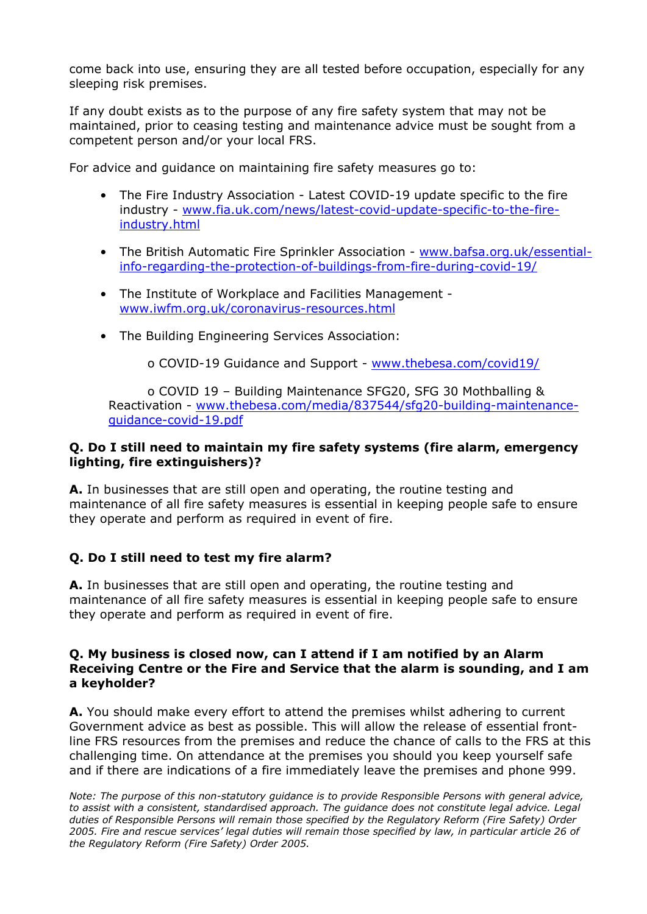come back into use, ensuring they are all tested before occupation, especially for any sleeping risk premises.

If any doubt exists as to the purpose of any fire safety system that may not be maintained, prior to ceasing testing and maintenance advice must be sought from a competent person and/or your local FRS.

For advice and guidance on maintaining fire safety measures go to:

- The Fire Industry Association Latest COVID-19 update specific to the fire industry - www.fia.uk.com/news/latest-covid-update-specific-to-the-fireindustry.html
- The British Automatic Fire Sprinkler Association www.bafsa.org.uk/essentialinfo-regarding-the-protection-of-buildings-from-fire-during-covid-19/
- The Institute of Workplace and Facilities Management www.iwfm.org.uk/coronavirus-resources.html
- The Building Engineering Services Association:

o COVID-19 Guidance and Support - www.thebesa.com/covid19/

o COVID 19 – Building Maintenance SFG20, SFG 30 Mothballing & Reactivation - www.thebesa.com/media/837544/sfg20-building-maintenanceguidance-covid-19.pdf

#### **Q. Do I still need to maintain my fire safety systems (fire alarm, emergency lighting, fire extinguishers)?**

**A.** In businesses that are still open and operating, the routine testing and maintenance of all fire safety measures is essential in keeping people safe to ensure they operate and perform as required in event of fire.

# **Q. Do I still need to test my fire alarm?**

**A.** In businesses that are still open and operating, the routine testing and maintenance of all fire safety measures is essential in keeping people safe to ensure they operate and perform as required in event of fire.

#### **Q. My business is closed now, can I attend if I am notified by an Alarm Receiving Centre or the Fire and Service that the alarm is sounding, and I am a keyholder?**

**A.** You should make every effort to attend the premises whilst adhering to current Government advice as best as possible. This will allow the release of essential frontline FRS resources from the premises and reduce the chance of calls to the FRS at this challenging time. On attendance at the premises you should you keep yourself safe and if there are indications of a fire immediately leave the premises and phone 999.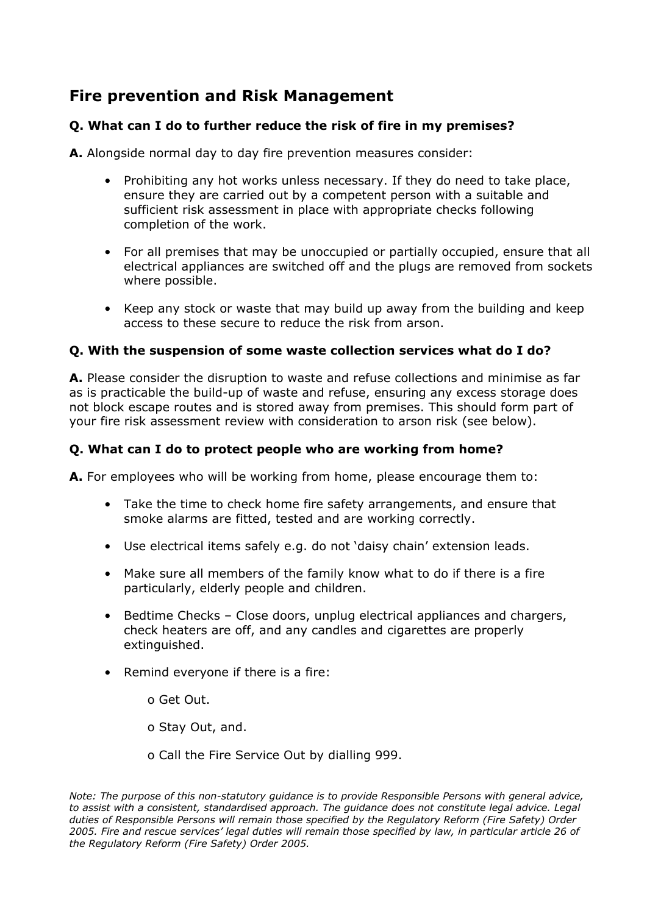# **Fire prevention and Risk Management**

### **Q. What can I do to further reduce the risk of fire in my premises?**

**A.** Alongside normal day to day fire prevention measures consider:

- Prohibiting any hot works unless necessary. If they do need to take place, ensure they are carried out by a competent person with a suitable and sufficient risk assessment in place with appropriate checks following completion of the work.
- For all premises that may be unoccupied or partially occupied, ensure that all electrical appliances are switched off and the plugs are removed from sockets where possible.
- Keep any stock or waste that may build up away from the building and keep access to these secure to reduce the risk from arson.

#### **Q. With the suspension of some waste collection services what do I do?**

**A.** Please consider the disruption to waste and refuse collections and minimise as far as is practicable the build-up of waste and refuse, ensuring any excess storage does not block escape routes and is stored away from premises. This should form part of your fire risk assessment review with consideration to arson risk (see below).

#### **Q. What can I do to protect people who are working from home?**

**A.** For employees who will be working from home, please encourage them to:

- Take the time to check home fire safety arrangements, and ensure that smoke alarms are fitted, tested and are working correctly.
- Use electrical items safely e.g. do not 'daisy chain' extension leads.
- Make sure all members of the family know what to do if there is a fire particularly, elderly people and children.
- Bedtime Checks Close doors, unplug electrical appliances and chargers, check heaters are off, and any candles and cigarettes are properly extinguished.
- Remind everyone if there is a fire:
	- o Get Out.
	- o Stay Out, and.

o Call the Fire Service Out by dialling 999.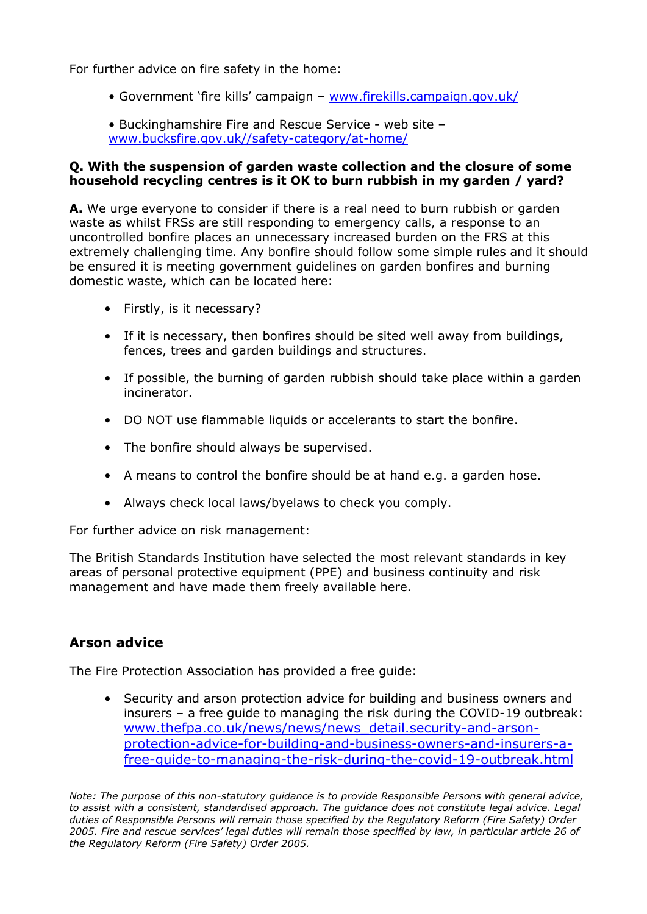For further advice on fire safety in the home:

- Government 'fire kills' campaign www.firekills.campaign.gov.uk/
- Buckinghamshire Fire and Rescue Service web site www.bucksfire.gov.uk//safety-category/at-home/

#### **Q. With the suspension of garden waste collection and the closure of some household recycling centres is it OK to burn rubbish in my garden / yard?**

**A.** We urge everyone to consider if there is a real need to burn rubbish or garden waste as whilst FRSs are still responding to emergency calls, a response to an uncontrolled bonfire places an unnecessary increased burden on the FRS at this extremely challenging time. Any bonfire should follow some simple rules and it should be ensured it is meeting government guidelines on garden bonfires and burning domestic waste, which can be located here:

- Firstly, is it necessary?
- If it is necessary, then bonfires should be sited well away from buildings, fences, trees and garden buildings and structures.
- If possible, the burning of garden rubbish should take place within a garden incinerator.
- DO NOT use flammable liquids or accelerants to start the bonfire.
- The bonfire should always be supervised.
- A means to control the bonfire should be at hand e.g. a garden hose.
- Always check local laws/byelaws to check you comply.

For further advice on risk management:

The British Standards Institution have selected the most relevant standards in key areas of personal protective equipment (PPE) and business continuity and risk management and have made them freely available here.

# **Arson advice**

The Fire Protection Association has provided a free guide:

• Security and arson protection advice for building and business owners and insurers – a free guide to managing the risk during the COVID-19 outbreak: www.thefpa.co.uk/news/news/news\_detail.security-and-arsonprotection-advice-for-building-and-business-owners-and-insurers-afree-guide-to-managing-the-risk-during-the-covid-19-outbreak.html